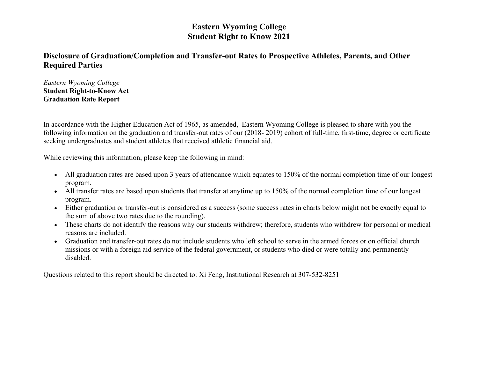# **Eastern Wyoming College Student Right to Know 2021**

# **Disclosure of Graduation/Completion and Transfer-out Rates to Prospective Athletes, Parents, and Other Required Parties**

*Eastern Wyoming College* **Student Right-to-Know Act Graduation Rate Report**

In accordance with the Higher Education Act of 1965, as amended, Eastern Wyoming College is pleased to share with you the following information on the graduation and transfer-out rates of our (2018- 2019) cohort of full-time, first-time, degree or certificate seeking undergraduates and student athletes that received athletic financial aid.

While reviewing this information, please keep the following in mind:

- All graduation rates are based upon 3 years of attendance which equates to 150% of the normal completion time of our longest program.
- All transfer rates are based upon students that transfer at anytime up to 150% of the normal completion time of our longest program.
- Either graduation or transfer-out is considered as a success (some success rates in charts below might not be exactly equal to the sum of above two rates due to the rounding).
- These charts do not identify the reasons why our students withdrew; therefore, students who withdrew for personal or medical reasons are included.
- Graduation and transfer-out rates do not include students who left school to serve in the armed forces or on official church missions or with a foreign aid service of the federal government, or students who died or were totally and permanently disabled.

Questions related to this report should be directed to: Xi Feng, Institutional Research at 307-532-8251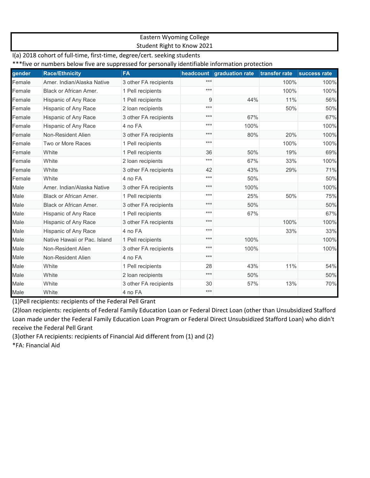#### Eastern Wyoming College Student Right to Know 2021

I(a) 2018 cohort of full-time, first-time, degree/cert. seeking students \*\*\*five or numbers below five are suppressed for personally identifiable information protection

| gender | <b>Race/Ethnicity</b>        | <b>FA</b>             |       | headcount graduation rate | transfer rate | success rate |
|--------|------------------------------|-----------------------|-------|---------------------------|---------------|--------------|
| Female | Amer. Indian/Alaska Native   | 3 other FA recipients | $***$ |                           | 100%          | 100%         |
| Female | Black or African Amer.       | 1 Pell recipients     | $***$ |                           | 100%          | 100%         |
| Female | Hispanic of Any Race         | 1 Pell recipients     | 9     | 44%                       | 11%           | 56%          |
| Female | Hispanic of Any Race         | 2 loan recipients     | $***$ |                           | 50%           | 50%          |
| Female | Hispanic of Any Race         | 3 other FA recipients | $***$ | 67%                       |               | 67%          |
| Female | Hispanic of Any Race         | 4 no FA               | $***$ | 100%                      |               | 100%         |
| Female | Non-Resident Alien           | 3 other FA recipients | $***$ | 80%                       | 20%           | 100%         |
| Female | Two or More Races            | 1 Pell recipients     | $***$ |                           | 100%          | 100%         |
| Female | White                        | 1 Pell recipients     | 36    | 50%                       | 19%           | 69%          |
| Female | White                        | 2 loan recipients     | $***$ | 67%                       | 33%           | 100%         |
| Female | White                        | 3 other FA recipients | 42    | 43%                       | 29%           | 71%          |
| Female | White                        | 4 no FA               | $***$ | 50%                       |               | 50%          |
| Male   | Amer, Indian/Alaska Native   | 3 other FA recipients | $***$ | 100%                      |               | 100%         |
| Male   | Black or African Amer.       | 1 Pell recipients     | $***$ | 25%                       | 50%           | 75%          |
| Male   | Black or African Amer.       | 3 other FA recipients | $***$ | 50%                       |               | 50%          |
| Male   | Hispanic of Any Race         | 1 Pell recipients     | $***$ | 67%                       |               | 67%          |
| Male   | Hispanic of Any Race         | 3 other FA recipients | $***$ |                           | 100%          | 100%         |
| Male   | Hispanic of Any Race         | 4 no FA               | $***$ |                           | 33%           | 33%          |
| Male   | Native Hawaii or Pac. Island | 1 Pell recipients     | $***$ | 100%                      |               | 100%         |
| Male   | Non-Resident Alien           | 3 other FA recipients | $***$ | 100%                      |               | 100%         |
| Male   | Non-Resident Alien           | 4 no FA               | $***$ |                           |               |              |
| Male   | White                        | 1 Pell recipients     | 28    | 43%                       | 11%           | 54%          |
| Male   | White                        | 2 loan recipients     | $***$ | 50%                       |               | 50%          |
| Male   | White                        | 3 other FA recipients | 30    | 57%                       | 13%           | 70%          |
| Male   | White                        | 4 no FA               | $***$ |                           |               |              |

(1)Pell recipients: recipients of the Federal Pell Grant

(2)loan recipients: recipients of Federal Family Education Loan or Federal Direct Loan (other than Unsubsidized Stafford Loan made under the Federal Family Education Loan Program or Federal Direct Unsubsidized Stafford Loan) who didn't receive the Federal Pell Grant

(3)other FA recipients: recipients of Financial Aid different from (1) and (2)

\*FA: Financial Aid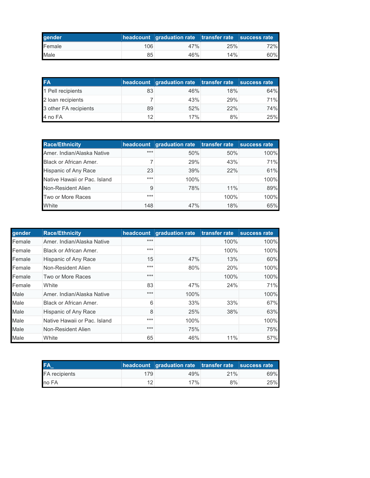| gender |     | headcount graduation rate transfer rate success rate |     |     |
|--------|-----|------------------------------------------------------|-----|-----|
| Female | 106 | 47%                                                  | 25% | 72% |
| Male   | 85  | 46%                                                  | 14% | 60% |

| <b>FA</b>             |    | headcount graduation rate transfer rate |     | success rate |
|-----------------------|----|-----------------------------------------|-----|--------------|
| 1 Pell recipients     | 83 | 46%                                     | 18% | 64%          |
| 2 Ioan recipients     |    | 43%                                     | 29% | 71%          |
| 3 other FA recipients | 89 | 52%                                     | 22% | 74%          |
| 4 no FA               | 12 | 17%                                     | 8%  | 25%          |

| <b>Race/Ethnicity</b>         |       | headcount graduation rate transfer rate |      | success rate |
|-------------------------------|-------|-----------------------------------------|------|--------------|
| Amer. Indian/Alaska Native    | $***$ | 50%                                     | 50%  | 100%         |
| <b>Black or African Amer.</b> |       | 29%                                     | 43%  | 71%          |
| Hispanic of Any Race          | 23    | 39%                                     | 22%  | 61%          |
| Native Hawaii or Pac. Island  | $***$ | 100%                                    |      | 100%         |
| Non-Resident Alien            | 9     | 78%                                     | 11%  | 89%          |
| Two or More Races             | $***$ |                                         | 100% | 100%         |
| White                         | 148   | 47%                                     | 18%  | 65%          |

| gender | <b>Race/Ethnicity</b>        | headcount | <b>graduation rate</b> | transfer rate | success rate |
|--------|------------------------------|-----------|------------------------|---------------|--------------|
| Female | Amer. Indian/Alaska Native   | $***$     |                        | 100%          | 100%         |
| Female | Black or African Amer.       | $***$     |                        | 100%          | 100%         |
| Female | Hispanic of Any Race         | 15        | 47%                    | 13%           | 60%          |
| Female | Non-Resident Alien           | $***$     | 80%                    | 20%           | 100%         |
| Female | Two or More Races            | $***$     |                        | 100%          | 100%         |
| Female | White                        | 83        | 47%                    | 24%           | 71%          |
| Male   | Amer, Indian/Alaska Native   | ***       | 100%                   |               | 100%         |
| Male   | Black or African Amer.       | 6         | 33%                    | 33%           | 67%          |
| Male   | Hispanic of Any Race         | 8         | 25%                    | 38%           | 63%          |
| Male   | Native Hawaii or Pac. Island | $***$     | 100%                   |               | 100%         |
| Male   | Non-Resident Alien           | $***$     | 75%                    |               | 75%          |
| Male   | White                        | 65        | 46%                    | 11%           | 57%          |

| FA                   |     | headcount graduation rate transfer rate success rate |     |     |
|----------------------|-----|------------------------------------------------------|-----|-----|
| <b>FA</b> recipients | 179 | 49%                                                  | 21% | 69% |
| no FA                |     | 17%                                                  | 8%  | 25% |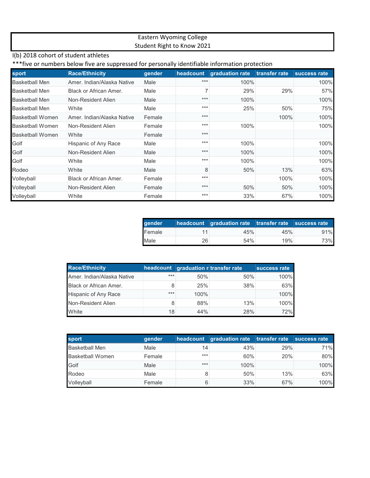### Eastern Wyoming College Student Right to Know 2021

## I(b) 2018 cohort of student athletes

### \*\*\*five or numbers below five are suppressed for personally identifiable information protection

| sport                   | <b>Race/Ethnicity</b>      | gender | headcount | graduation rate | transfer rate | success rate |
|-------------------------|----------------------------|--------|-----------|-----------------|---------------|--------------|
| <b>Basketball Men</b>   | Amer, Indian/Alaska Native | Male   | $***$     | 100%            |               | 100%         |
| Basketball Men          | Black or African Amer.     | Male   |           | 29%             | 29%           | 57%          |
| <b>Basketball Men</b>   | Non-Resident Alien         | Male   | $***$     | 100%            |               | 100%         |
| <b>Basketball Men</b>   | White                      | Male   | $***$     | 25%             | 50%           | 75%          |
| Basketball Women        | Amer, Indian/Alaska Native | Female | $***$     |                 | 100%          | 100%         |
| <b>Basketball Women</b> | Non-Resident Alien         | Female | $***$     | 100%            |               | 100%         |
| <b>Basketball Women</b> | White                      | Female | $***$     |                 |               |              |
| Golf                    | Hispanic of Any Race       | Male   | $***$     | 100%            |               | 100%         |
| Golf                    | Non-Resident Alien         | Male   | $***$     | 100%            |               | 100%         |
| Golf                    | White                      | Male   | $***$     | 100%            |               | 100%         |
| Rodeo                   | White                      | Male   | 8         | 50%             | 13%           | 63%          |
| Volleyball              | Black or African Amer.     | Female | $***$     |                 | 100%          | 100%         |
| Volleyball              | Non-Resident Alien         | Female | $***$     | 50%             | 50%           | 100%         |
| Volleyball              | White                      | Female | $***$     | 33%             | 67%           | 100%         |

| gender |    | headcount graduation rate transfer rate success rate |     |     |
|--------|----|------------------------------------------------------|-----|-----|
| Female |    | 45%                                                  | 45% | 91% |
| Male   | 26 | 54%                                                  | 19% | 73% |

| <b>Race/Ethnicity</b>         |     |      | headcount graduation r transfer rate | success rate |
|-------------------------------|-----|------|--------------------------------------|--------------|
| Amer. Indian/Alaska Native    | *** | 50%  | 50%                                  | 100%         |
| <b>Black or African Amer.</b> |     | 25%  | 38%                                  | 63%          |
| Hispanic of Any Race          | *** | 100% |                                      | 100%         |
| Non-Resident Alien            |     | 88%  | 13%                                  | 100%         |
| White                         | 18  | 44%  | 28%                                  | 72%          |

| sport                   | gender |       | headcount graduation rate transfer rate |     | success rate |
|-------------------------|--------|-------|-----------------------------------------|-----|--------------|
| <b>Basketball Men</b>   | Male   | 14    | 43%                                     | 29% | 71%          |
| <b>Basketball Women</b> | Female | $***$ | 60%                                     | 20% | 80%          |
| Golf                    | Male   | $***$ | 100%                                    |     | 100%         |
| Rodeo                   | Male   |       | 50%                                     | 13% | 63%          |
| Volleyball              | Female |       | 33%                                     | 67% | 100%         |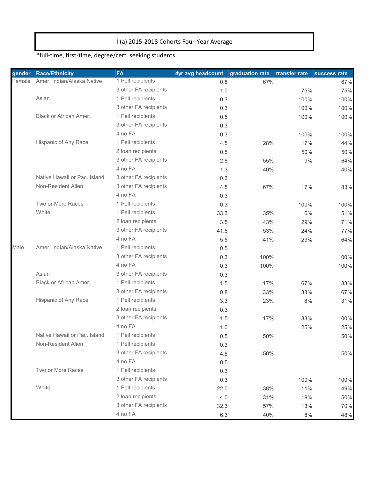### II(a) 2015-2018 Cohorts Four-Year Average

# \*full-time, first-time, degree/cert. seeking students

| gender | <b>Race/Ethnicity</b>         | <b>FA</b>             | 4yr avg headcount | graduation rate | transfer rate | success rate |
|--------|-------------------------------|-----------------------|-------------------|-----------------|---------------|--------------|
| Female | Amer. Indian/Alaska Native    | 1 Pell recipients     | 0.8               | 67%             |               | 67%          |
|        |                               | 3 other FA recipients | 1.0               |                 | 75%           | 75%          |
|        | Asian                         | 1 Pell recipients     | 0.3               |                 | 100%          | 100%         |
|        |                               | 3 other FA recipients | 0.3               |                 | 100%          | 100%         |
|        | <b>Black or African Amer.</b> | 1 Pell recipients     | 0.5               |                 | 100%          | 100%         |
|        |                               | 3 other FA recipients | 0.3               |                 |               |              |
|        |                               | 4 no FA               | 0.3               |                 | 100%          | 100%         |
|        | Hispanic of Any Race          | 1 Pell recipients     | 4.5               | 28%             | 17%           | 44%          |
|        |                               | 2 loan recipients     | 0.5               |                 | 50%           | 50%          |
|        |                               | 3 other FA recipients | 2.8               | 55%             | 9%            | 64%          |
|        |                               | 4 no FA               | 1.3               | 40%             |               | 40%          |
|        | Native Hawaii or Pac. Island  | 3 other FA recipients | 0.3               |                 |               |              |
|        | Non-Resident Alien            | 3 other FA recipients | 4.5               | 67%             | 17%           | 83%          |
|        |                               | 4 no FA               | 0.3               |                 |               |              |
|        | Two or More Races             | 1 Pell recipients     | 0.3               |                 | 100%          | 100%         |
|        | White                         | 1 Pell recipients     | 33.3              | 35%             | 16%           | 51%          |
|        |                               | 2 loan recipients     | 3.5               | 43%             | 29%           | 71%          |
|        |                               | 3 other FA recipients | 41.5              | 53%             | 24%           | 77%          |
|        |                               | 4 no FA               | 5.5               | 41%             | 23%           | 64%          |
| Male   | Amer. Indian/Alaska Native    | 1 Pell recipients     | 0.5               |                 |               |              |
|        |                               | 3 other FA recipients | 0.3               | 100%            |               | 100%         |
|        |                               | 4 no FA               | 0.3               | 100%            |               | 100%         |
|        | Asian                         | 3 other FA recipients | 0.3               |                 |               |              |
|        | Black or African Amer.        | 1 Pell recipients     | 1.5               | 17%             | 67%           | 83%          |
|        |                               | 3 other FA recipients | 0.8               | 33%             | 33%           | 67%          |
|        | Hispanic of Any Race          | 1 Pell recipients     | 3.3               | 23%             | 8%            | 31%          |
|        |                               | 2 loan recipients     | 0.3               |                 |               |              |
|        |                               | 3 other FA recipients | 1.5               | 17%             | 83%           | 100%         |
|        |                               | 4 no FA               | 1.0               |                 | 25%           | 25%          |
|        | Native Hawaii or Pac. Island  | 1 Pell recipients     | 0.5               | 50%             |               | 50%          |
|        | Non-Resident Alien            | 1 Pell recipients     | 0.3               |                 |               |              |
|        |                               | 3 other FA recipients | 4.5               | 50%             |               | 50%          |
|        |                               | 4 no FA               | 0.5               |                 |               |              |
|        | Two or More Races             | 1 Pell recipients     | 0.3               |                 |               |              |
|        |                               | 3 other FA recipients | 0.3               |                 | 100%          | 100%         |
|        | White                         | 1 Pell recipients     | 22.0              | 38%             | 11%           | 49%          |
|        |                               | 2 loan recipients     | 4.0               | 31%             | 19%           | 50%          |
|        |                               | 3 other FA recipients | 32.3              | 57%             | 13%           | 70%          |
|        |                               | 4 no FA               | 6.3               | 40%             | 8%            | 48%          |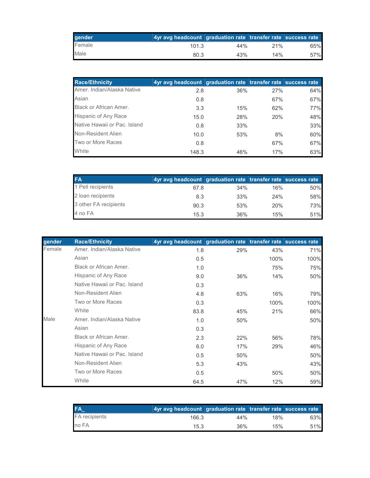| gender | Ayr avg headcount graduation rate transfer rate success rate |     |     |     |
|--------|--------------------------------------------------------------|-----|-----|-----|
| Female | 101.3                                                        | 44% | 21% | 65% |
| Male   | 80.3                                                         | 43% | 14% | 57% |

| <b>Race/Ethnicity</b>         | 4yr avg headcount graduation rate transfer rate success rate |     |     |     |
|-------------------------------|--------------------------------------------------------------|-----|-----|-----|
| Amer, Indian/Alaska Native    | 2.8                                                          | 36% | 27% | 64% |
| Asian                         | 0.8                                                          |     | 67% | 67% |
| <b>Black or African Amer.</b> | 3.3                                                          | 15% | 62% | 77% |
| Hispanic of Any Race          | 15.0                                                         | 28% | 20% | 48% |
| Native Hawaii or Pac. Island  | 0.8                                                          | 33% |     | 33% |
| Non-Resident Alien            | 10.0                                                         | 53% | 8%  | 60% |
| Two or More Races             | 0.8                                                          |     | 67% | 67% |
| White                         | 148.3                                                        | 46% | 17% | 63% |

| <b>FA</b>             | 4yr avg headcount graduation rate transfer rate success rate |     |     |     |
|-----------------------|--------------------------------------------------------------|-----|-----|-----|
| 1 Pell recipients     | 67.8                                                         | 34% | 16% | 50% |
| 2 loan recipients     | 8.3                                                          | 33% | 24% | 58% |
| 3 other FA recipients | 90.3                                                         | 53% | 20% | 73% |
| 4 no FA               | 15.3                                                         | 36% | 15% | 51% |

| gender | <b>Race/Ethnicity</b>        | 4yr avg headcount graduation rate transfer rate success rate |     |      |      |
|--------|------------------------------|--------------------------------------------------------------|-----|------|------|
| Female | Amer. Indian/Alaska Native   | 1.8                                                          | 29% | 43%  | 71%  |
|        | Asian                        | 0.5                                                          |     | 100% | 100% |
|        | Black or African Amer.       | 1.0                                                          |     | 75%  | 75%  |
|        | Hispanic of Any Race         | 9.0                                                          | 36% | 14%  | 50%  |
|        | Native Hawaii or Pac. Island | 0.3                                                          |     |      |      |
|        | Non-Resident Alien           | 4.8                                                          | 63% | 16%  | 79%  |
|        | Two or More Races            | 0.3                                                          |     | 100% | 100% |
|        | White                        | 83.8                                                         | 45% | 21%  | 66%  |
| Male   | Amer, Indian/Alaska Native   | 1.0                                                          | 50% |      | 50%  |
|        | Asian                        | 0.3                                                          |     |      |      |
|        | Black or African Amer.       | 2.3                                                          | 22% | 56%  | 78%  |
|        | Hispanic of Any Race         | 6.0                                                          | 17% | 29%  | 46%  |
|        | Native Hawaii or Pac. Island | 0.5                                                          | 50% |      | 50%  |
|        | Non-Resident Alien           | 5.3                                                          | 43% |      | 43%  |
|        | Two or More Races            | 0.5                                                          |     | 50%  | 50%  |
|        | White                        | 64.5                                                         | 47% | 12%  | 59%  |

|                      | 4yr avg headcount graduation rate transfer rate success rate |        |     |     |
|----------------------|--------------------------------------------------------------|--------|-----|-----|
| <b>FA</b> recipients | 166.3                                                        | 44%    | 18% | 63% |
| no FA                | 15.3                                                         | $36\%$ | 15% | 51% |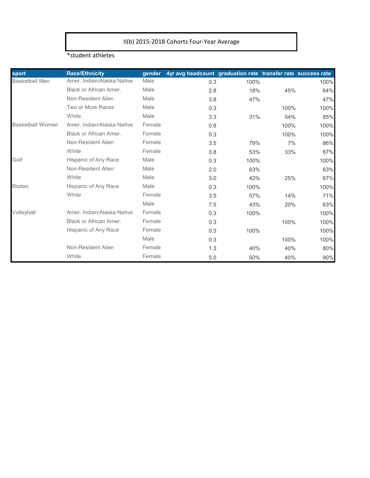### II(b) 2015-2018 Cohorts Four-Year Average

#### \*student athletes

| sport                   | <b>Race/Ethnicity</b>         | qender | 4yr avg headcount graduation rate transfer rate success rate |      |      |      |
|-------------------------|-------------------------------|--------|--------------------------------------------------------------|------|------|------|
| <b>Basketball Men</b>   | Amer. Indian/Alaska Native    | Male   | 0.3                                                          | 100% |      | 100% |
|                         | Black or African Amer.        | Male   | 2.8                                                          | 18%  | 45%  | 64%  |
|                         | Non-Resident Alien            | Male   | 3.8                                                          | 47%  |      | 47%  |
|                         | Two or More Races             | Male   | 0.3                                                          |      | 100% | 100% |
|                         | White                         | Male   | 3.3                                                          | 31%  | 54%  | 85%  |
| <b>Basketball Women</b> | Amer. Indian/Alaska Native    | Female | 0.8                                                          |      | 100% | 100% |
|                         | Black or African Amer.        | Female | 0.3                                                          |      | 100% | 100% |
|                         | Non-Resident Alien            | Female | 3.5                                                          | 79%  | 7%   | 86%  |
|                         | White                         | Female | 3.8                                                          | 53%  | 33%  | 87%  |
| Golf                    | Hispanic of Any Race          | Male   | 0.3                                                          | 100% |      | 100% |
|                         | Non-Resident Alien            | Male   | 2.0                                                          | 63%  |      | 63%  |
|                         | White                         | Male   | 3.0                                                          | 42%  | 25%  | 67%  |
| Rodeo                   | Hispanic of Any Race          | Male   | 0.3                                                          | 100% |      | 100% |
|                         | White                         | Female | 3.5                                                          | 57%  | 14%  | 71%  |
|                         |                               | Male   | 7.5                                                          | 43%  | 20%  | 63%  |
| Volleyball              | Amer, Indian/Alaska Native    | Female | 0.3                                                          | 100% |      | 100% |
|                         | <b>Black or African Amer.</b> | Female | 0.3                                                          |      | 100% | 100% |
|                         | Hispanic of Any Race          | Female | 0.3                                                          | 100% |      | 100% |
|                         |                               | Male   | 0.3                                                          |      | 100% | 100% |
|                         | Non-Resident Alien            | Female | 1.3                                                          | 40%  | 40%  | 80%  |
|                         | White                         | Female | 5.0                                                          | 50%  | 40%  | 90%  |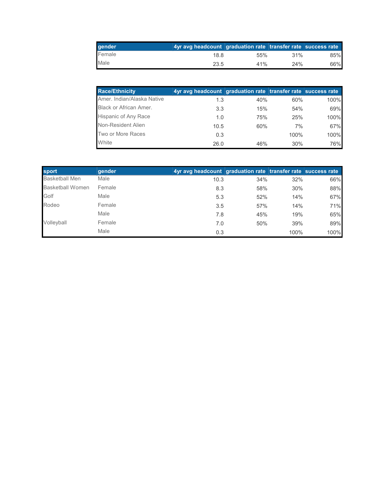| gender | 4yr avg headcount graduation rate transfer rate success rate |        |         |     |
|--------|--------------------------------------------------------------|--------|---------|-----|
| Female | 18.8                                                         | $55\%$ | $.31\%$ | 85% |
| Male   | 23.5                                                         | 41%    | 24%     | 66% |

| <b>Race/Ethnicity</b>         | 4yr avg headcount graduation rate transfer rate success rate |     |      |      |
|-------------------------------|--------------------------------------------------------------|-----|------|------|
| Amer. Indian/Alaska Native    | 1.3                                                          | 40% | 60%  | 100% |
| <b>Black or African Amer.</b> | 3.3                                                          | 15% | 54%  | 69%  |
| <b>Hispanic of Any Race</b>   | 1.0                                                          | 75% | 25%  | 100% |
| Non-Resident Alien            | 10.5                                                         | 60% | 7%   | 67%  |
| Two or More Races             | 0.3                                                          |     | 100% | 100% |
| White                         | 26.0                                                         | 46% | 30%  | 76%  |

| sport                   | gender | 4yr avg headcount graduation rate transfer rate success rate |     |      |      |
|-------------------------|--------|--------------------------------------------------------------|-----|------|------|
| <b>Basketball Men</b>   | Male   | 10.3                                                         | 34% | 32%  | 66%  |
| <b>Basketball Women</b> | Female | 8.3                                                          | 58% | 30%  | 88%  |
| Golf                    | Male   | 5.3                                                          | 52% | 14%  | 67%  |
| Rodeo                   | Female | 3.5                                                          | 57% | 14%  | 71%  |
|                         | Male   | 7.8                                                          | 45% | 19%  | 65%  |
| Volleyball              | Female | 7.0                                                          | 50% | 39%  | 89%  |
|                         | Male   | 0.3                                                          |     | 100% | 100% |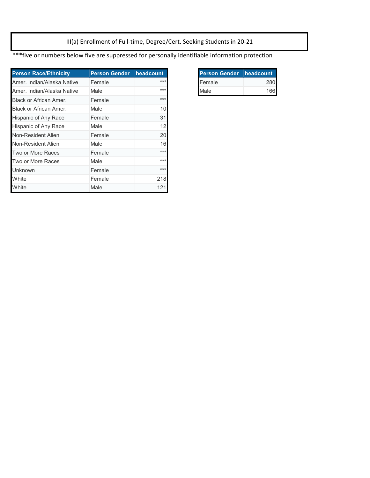III(a) Enrollment of Full-time, Degree/Cert. Seeking Students in 20-21

\*\*\*five or numbers below five are suppressed for personally identifiable information protection

| <b>Person Race/Ethnicity</b> | <b>Person Gender</b> | headcount |
|------------------------------|----------------------|-----------|
| Amer, Indian/Alaska Native   | Female               | ***       |
| Amer, Indian/Alaska Native   | Male                 | $***$     |
| Black or African Amer.       | Female               | $***$     |
| Black or African Amer.       | Male                 | 10        |
| Hispanic of Any Race         | Female               | 31        |
| Hispanic of Any Race         | Male                 | 12        |
| Non-Resident Alien           | Female               | 20        |
| Non-Resident Alien           | Male                 | 16        |
| Two or More Races            | Female               | $***$     |
| Two or More Races            | Male                 | $***$     |
| <b>Unknown</b>               | Female               | $***$     |
| White                        | Female               | 218       |
| White                        | Male                 | 121       |

| <b>Person Gender headcount</b> |    |
|--------------------------------|----|
| Female                         |    |
| Male                           | 16 |